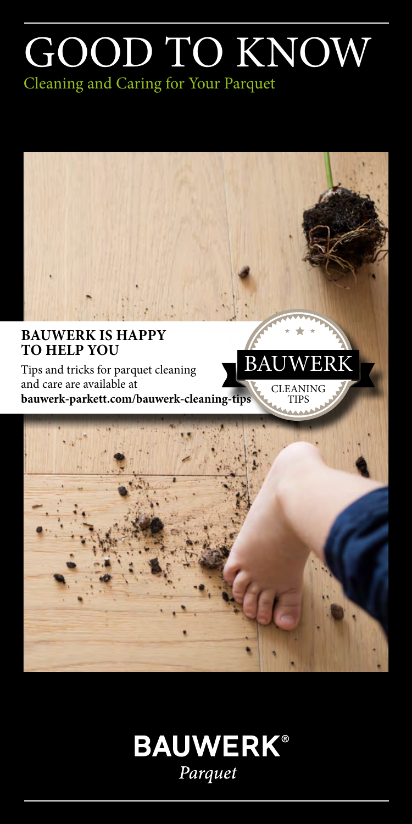# GOOD TO KNOW

Cleaning and Caring for Your Parquet



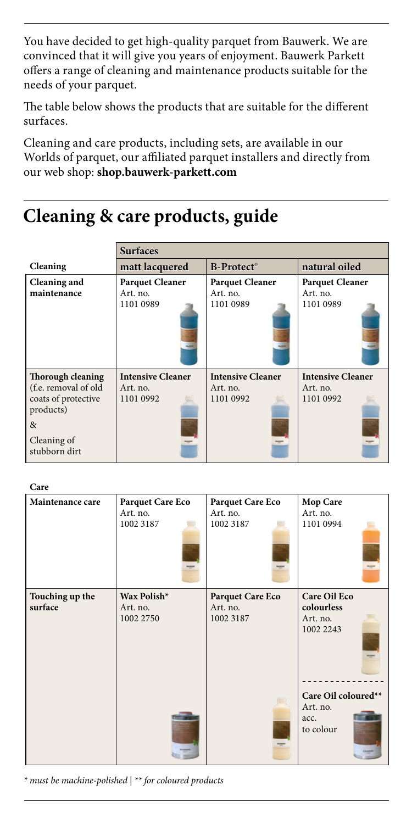You have decided to get high-quality parquet from Bauwerk. We are convinced that it will give you years of enjoyment. Bauwerk Parkett offers a range of cleaning and maintenance products suitable for the needs of your parquet.

The table below shows the products that are suitable for the different surfaces.

Cleaning and care products, including sets, are available in our Worlds of parquet, our affiliated parquet installers and directly from our web shop: **shop.bauwerk-parkett.com**

# **Cleaning & care products, guide**

|                                  | <b>Surfaces</b>          |                          |                          |
|----------------------------------|--------------------------|--------------------------|--------------------------|
| Cleaning                         | matt lacquered           | <b>B-Protect</b> ®       | natural oiled            |
| Cleaning and                     | <b>Parquet Cleaner</b>   | <b>Parquet Cleaner</b>   | <b>Parquet Cleaner</b>   |
| maintenance                      | Art. no.                 | Art. no.                 | Art. no.                 |
|                                  | 1101 0989                | 1101 0989                | 1101 0989                |
| Thorough cleaning                | <b>Intensive Cleaner</b> | <b>Intensive Cleaner</b> | <b>Intensive Cleaner</b> |
| (f.e. removal of old             | Art. no.                 | Art. no.                 | Art. no.                 |
| coats of protective<br>products) | 1101 0992                | 1101 0992                | 1101 0992                |
| $\&$                             |                          |                          |                          |
| Cleaning of<br>stubborn dirt     |                          |                          |                          |

**Care**

| Maintenance care           | Parquet Care Eco<br>Art. no.<br>1002 3187<br><b>POP</b> | Parquet Care Eco<br>Art. no.<br>1002 3187 | Mop Care<br>Art. no.<br>1101 0994                          |
|----------------------------|---------------------------------------------------------|-------------------------------------------|------------------------------------------------------------|
| Touching up the<br>surface | Wax Polish*<br>Art. no.<br>1002 2750                    | Parquet Care Eco<br>Art. no.<br>1002 3187 | <b>Care Oil Eco</b><br>colourless<br>Art. no.<br>1002 2243 |
|                            |                                                         |                                           | Care Oil coloured**<br>Art. no.<br>acc.<br>to colour       |

*\* must be machine-polished | \*\* for coloured products*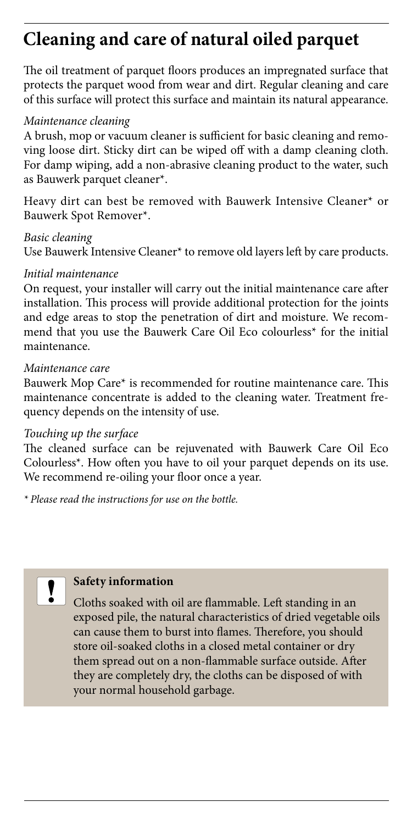# **Cleaning and care of natural oiled parquet**

The oil treatment of parquet floors produces an impregnated surface that protects the parquet wood from wear and dirt. Regular cleaning and care of this surface will protect this surface and maintain its natural appearance.

# *Maintenance cleaning*

A brush, mop or vacuum cleaner is sufficient for basic cleaning and removing loose dirt. Sticky dirt can be wiped off with a damp cleaning cloth. For damp wiping, add a non-abrasive cleaning product to the water, such as Bauwerk parquet cleaner\*.

Heavy dirt can best be removed with Bauwerk Intensive Cleaner\* or Bauwerk Spot Remover\*.

#### *Basic cleaning*

Use Bauwerk Intensive Cleaner\* to remove old layers left by care products.

#### *Initial maintenance*

On request, your installer will carry out the initial maintenance care after installation. This process will provide additional protection for the joints and edge areas to stop the penetration of dirt and moisture. We recommend that you use the Bauwerk Care Oil Eco colourless\* for the initial maintenance.

#### *Maintenance care*

Bauwerk Mop Care\* is recommended for routine maintenance care. This maintenance concentrate is added to the cleaning water. Treatment frequency depends on the intensity of use.

#### *Touching up the surface*

The cleaned surface can be rejuvenated with Bauwerk Care Oil Eco Colourless\*. How often you have to oil your parquet depends on its use. We recommend re-oiling your floor once a year.

*\* Please read the instructions for use on the bottle.*



# **Safety information**

Cloths soaked with oil are flammable. Left standing in an exposed pile, the natural characteristics of dried vegetable oils can cause them to burst into flames. Therefore, you should store oil-soaked cloths in a closed metal container or dry them spread out on a non-flammable surface outside. After they are completely dry, the cloths can be disposed of with your normal household garbage.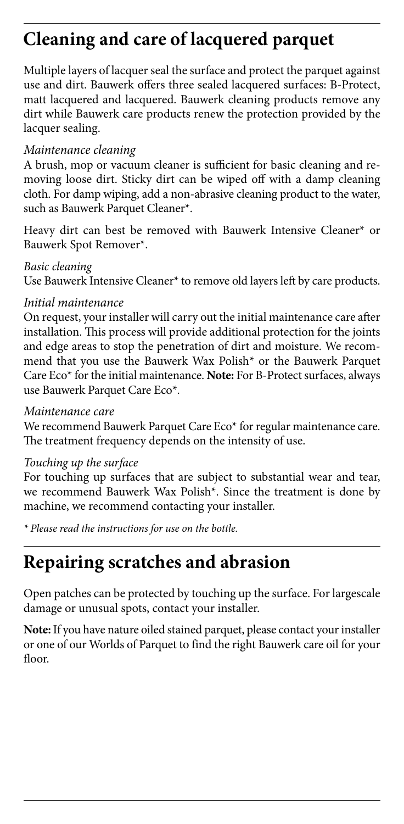# **Cleaning and care of lacquered parquet**

Multiple layers of lacquer seal the surface and protect the parquet against use and dirt. Bauwerk offers three sealed lacquered surfaces: B-Protect, matt lacquered and lacquered. Bauwerk cleaning products remove any dirt while Bauwerk care products renew the protection provided by the lacquer sealing.

# *Maintenance cleaning*

A brush, mop or vacuum cleaner is sufficient for basic cleaning and removing loose dirt. Sticky dirt can be wiped off with a damp cleaning cloth. For damp wiping, add a non-abrasive cleaning product to the water, such as Bauwerk Parquet Cleaner\*.

Heavy dirt can best be removed with Bauwerk Intensive Cleaner\* or Bauwerk Spot Remover\*.

*Basic cleaning*  Use Bauwerk Intensive Cleaner\* to remove old layers left by care products.

# *Initial maintenance*

On request, your installer will carry out the initial maintenance care after installation. This process will provide additional protection for the joints and edge areas to stop the penetration of dirt and moisture. We recommend that you use the Bauwerk Wax Polish\* or the Bauwerk Parquet Care Eco\* for the initial maintenance. **Note:** For B-Protect surfaces, always use Bauwerk Parquet Care Eco\*.

# *Maintenance care*

We recommend Bauwerk Parquet Care Eco\* for regular maintenance care. The treatment frequency depends on the intensity of use.

# *Touching up the surface*

For touching up surfaces that are subject to substantial wear and tear, we recommend Bauwerk Wax Polish\*. Since the treatment is done by machine, we recommend contacting your installer.

*\* Please read the instructions for use on the bottle.*

# **Repairing scratches and abrasion**

Open patches can be protected by touching up the surface. For largescale damage or unusual spots, contact your installer.

**Note:** If you have nature oiled stained parquet, please contact your installer or one of our Worlds of Parquet to find the right Bauwerk care oil for your floor.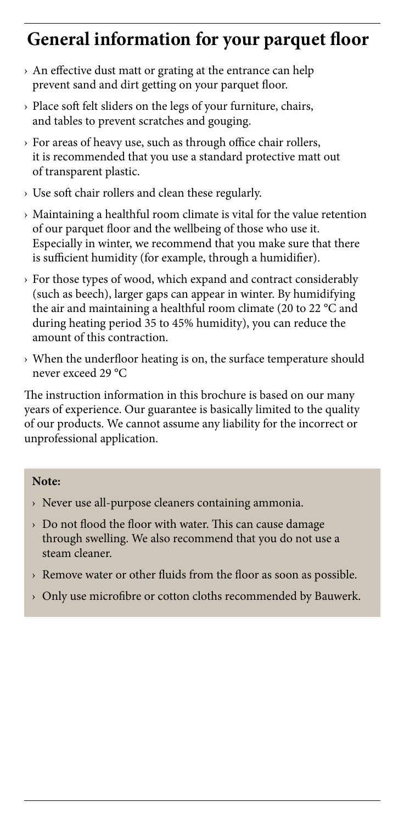# **General information for your parquet floor**

- › An effective dust matt or grating at the entrance can help prevent sand and dirt getting on your parquet floor.
- › Place soft felt sliders on the legs of your furniture, chairs, and tables to prevent scratches and gouging.
- › For areas of heavy use, such as through office chair rollers, it is recommended that you use a standard protective matt out of transparent plastic.
- › Use soft chair rollers and clean these regularly.
- › Maintaining a healthful room climate is vital for the value retention of our parquet floor and the wellbeing of those who use it. Especially in winter, we recommend that you make sure that there is sufficient humidity (for example, through a humidifier).
- › For those types of wood, which expand and contract considerably (such as beech), larger gaps can appear in winter. By humidifying the air and maintaining a healthful room climate (20 to 22 °C and during heating period 35 to 45% humidity), you can reduce the amount of this contraction.
- › When the underfloor heating is on, the surface temperature should never exceed 29 °C

The instruction information in this brochure is based on our many years of experience. Our guarantee is basically limited to the quality of our products. We cannot assume any liability for the incorrect or unprofessional application.

# **Note:**

- › Never use all-purpose cleaners containing ammonia.
- › Do not flood the floor with water. This can cause damage through swelling. We also recommend that you do not use a steam cleaner.
- › Remove water or other fluids from the floor as soon as possible.
- › Only use microfibre or cotton cloths recommended by Bauwerk.